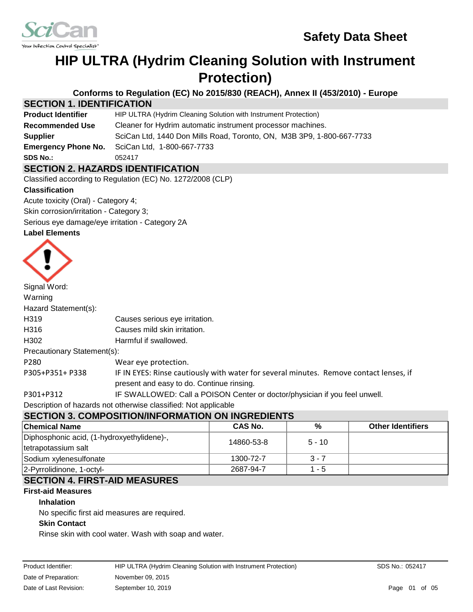



# **HIP ULTRA (Hydrim Cleaning Solution with Instrument Protection)**

**Conforms to Regulation (EC) No 2015/830 (REACH), Annex II (453/2010) - Europe**

# **SECTION 1. IDENTIFICATION**

| <b>Product Identifier</b>  | HIP ULTRA (Hydrim Cleaning Solution with Instrument Protection)       |  |  |
|----------------------------|-----------------------------------------------------------------------|--|--|
| <b>Recommended Use</b>     | Cleaner for Hydrim automatic instrument processor machines.           |  |  |
| <b>Supplier</b>            | SciCan Ltd, 1440 Don Mills Road, Toronto, ON, M3B 3P9, 1-800-667-7733 |  |  |
| <b>Emergency Phone No.</b> | SciCan Ltd, 1-800-667-7733                                            |  |  |
| <b>SDS No.:</b>            | 052417                                                                |  |  |
|                            |                                                                       |  |  |

# **SECTION 2. HAZARDS IDENTIFICATION**

Classified according to Regulation (EC) No. 1272/2008 (CLP)

#### **Classification**

Acute toxicity (Oral) - Category 4; Skin corrosion/irritation - Category 3;

Serious eye damage/eye irritation - Category 2A

### **Label Elements**



| Signal Word:                |                                                                                        |
|-----------------------------|----------------------------------------------------------------------------------------|
| Warning                     |                                                                                        |
| Hazard Statement(s):        |                                                                                        |
| H319                        | Causes serious eye irritation.                                                         |
| H316                        | Causes mild skin irritation.                                                           |
| H <sub>302</sub>            | Harmful if swallowed.                                                                  |
| Precautionary Statement(s): |                                                                                        |
| P <sub>280</sub>            | Wear eye protection.                                                                   |
| P305+P351+ P338             | IF IN EYES: Rinse cautiously with water for several minutes. Remove contact lenses, if |
|                             | present and easy to do. Continue rinsing.                                              |
| P301+P312                   | IF SWALLOWED: Call a POISON Center or doctor/physician if you feel unwell.             |

# Description of hazards not otherwise classified: Not applicable

# **SECTION 3. COMPOSITION/INFORMATION ON INGREDIENTS**

| <b>Chemical Name</b>                       | CAS No.    | %        | <b>Other Identifiers</b> |  |
|--------------------------------------------|------------|----------|--------------------------|--|
| Diphosphonic acid, (1-hydroxyethylidene)-, | 14860-53-8 | $5 - 10$ |                          |  |
| tetrapotassium salt                        |            |          |                          |  |
| Sodium xylenesulfonate                     | 1300-72-7  | $3 - 7$  |                          |  |
| 2-Pyrrolidinone, 1-octyl-                  | 2687-94-7  | 1 - 5    |                          |  |
|                                            |            |          |                          |  |

# **SECTION 4. FIRST-AID MEASURES**

# **First-aid Measures**

### **Inhalation**

No specific first aid measures are required.

### **Skin Contact**

Rinse skin with cool water. Wash with soap and water.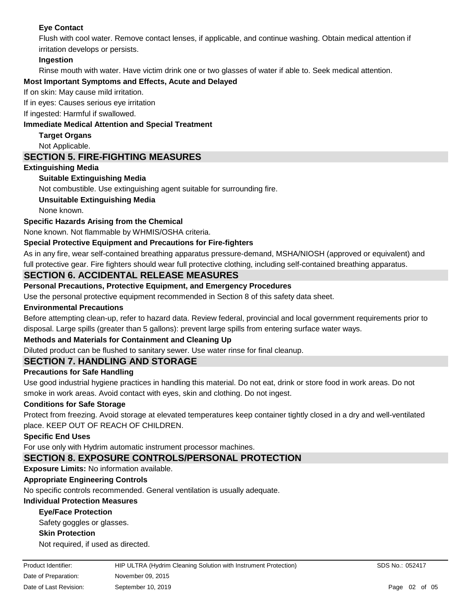# **Eye Contact**

Flush with cool water. Remove contact lenses, if applicable, and continue washing. Obtain medical attention if irritation develops or persists.

# **Ingestion**

Rinse mouth with water. Have victim drink one or two glasses of water if able to. Seek medical attention.

# **Most Important Symptoms and Effects, Acute and Delayed**

If on skin: May cause mild irritation.

If in eyes: Causes serious eye irritation

#### If ingested: Harmful if swallowed.

### **Immediate Medical Attention and Special Treatment**

**Target Organs**

## Not Applicable.

# **SECTION 5. FIRE-FIGHTING MEASURES**

# **Extinguishing Media**

# **Suitable Extinguishing Media**

Not combustible. Use extinguishing agent suitable for surrounding fire.

### **Unsuitable Extinguishing Media**

None known.

# **Specific Hazards Arising from the Chemical**

None known. Not flammable by WHMIS/OSHA criteria.

# **Special Protective Equipment and Precautions for Fire-fighters**

As in any fire, wear self-contained breathing apparatus pressure-demand, MSHA/NIOSH (approved or equivalent) and full protective gear. Fire fighters should wear full protective clothing, including self-contained breathing apparatus.

# **SECTION 6. ACCIDENTAL RELEASE MEASURES**

# **Personal Precautions, Protective Equipment, and Emergency Procedures**

Use the personal protective equipment recommended in Section 8 of this safety data sheet.

### **Environmental Precautions**

Before attempting clean-up, refer to hazard data. Review federal, provincial and local government requirements prior to disposal. Large spills (greater than 5 gallons): prevent large spills from entering surface water ways.

### **Methods and Materials for Containment and Cleaning Up**

Diluted product can be flushed to sanitary sewer. Use water rinse for final cleanup.

# **SECTION 7. HANDLING AND STORAGE**

### **Precautions for Safe Handling**

Use good industrial hygiene practices in handling this material. Do not eat, drink or store food in work areas. Do not smoke in work areas. Avoid contact with eyes, skin and clothing. Do not ingest.

### **Conditions for Safe Storage**

Protect from freezing. Avoid storage at elevated temperatures keep container tightly closed in a dry and well-ventilated place. KEEP OUT OF REACH OF CHILDREN.

### **Specific End Uses**

For use only with Hydrim automatic instrument processor machines.

# **SECTION 8. EXPOSURE CONTROLS/PERSONAL PROTECTION**

# **Exposure Limits:** No information available.

# **Appropriate Engineering Controls**

No specific controls recommended. General ventilation is usually adequate.

# **Individual Protection Measures**

# **Eye/Face Protection**

Safety goggles or glasses.

# **Skin Protection**

Not required, if used as directed.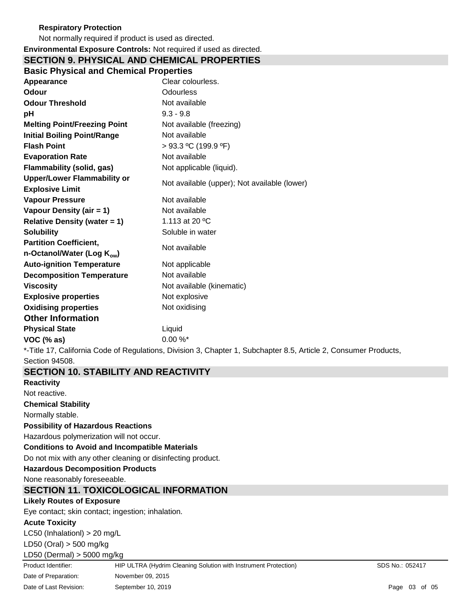# **Respiratory Protection**

Not normally required if product is used as directed.

#### **Environmental Exposure Controls:** Not required if used as directed. **SECTION 9. PHYSICAL AND CHEMICAL PROPERTIES**

| <b>Basic Physical and Chemical Properties</b>                           |                                                                                        |
|-------------------------------------------------------------------------|----------------------------------------------------------------------------------------|
| Appearance                                                              | Clear colourless.                                                                      |
| Odour                                                                   | <b>Odourless</b>                                                                       |
| <b>Odour Threshold</b>                                                  | Not available                                                                          |
| pH                                                                      | $9.3 - 9.8$                                                                            |
| <b>Melting Point/Freezing Point</b>                                     | Not available (freezing)                                                               |
| <b>Initial Boiling Point/Range</b>                                      | Not available                                                                          |
| <b>Flash Point</b>                                                      | $> 93.3$ °C (199.9 °F)                                                                 |
| <b>Evaporation Rate</b>                                                 | Not available                                                                          |
| <b>Flammability (solid, gas)</b>                                        | Not applicable (liquid).                                                               |
| <b>Upper/Lower Flammability or</b>                                      | Not available (upper); Not available (lower)                                           |
| <b>Explosive Limit</b>                                                  |                                                                                        |
| <b>Vapour Pressure</b>                                                  | Not available                                                                          |
| Vapour Density (air = 1)                                                | Not available                                                                          |
| <b>Relative Density (water = 1)</b>                                     | 1.113 at 20 °C                                                                         |
| <b>Solubility</b>                                                       | Soluble in water                                                                       |
| <b>Partition Coefficient,</b><br>n-Octanol/Water (Log K <sub>ow</sub> ) | Not available                                                                          |
| <b>Auto-ignition Temperature</b>                                        | Not applicable                                                                         |
| <b>Decomposition Temperature</b>                                        | Not available                                                                          |
| <b>Viscosity</b>                                                        | Not available (kinematic)                                                              |
| <b>Explosive properties</b>                                             | Not explosive                                                                          |
| <b>Oxidising properties</b>                                             | Not oxidising                                                                          |
| <b>Other Information</b>                                                |                                                                                        |
| <b>Physical State</b>                                                   | Liquid                                                                                 |
| VOC (% as)                                                              | $0.00 \%$                                                                              |
|                                                                         | *-Title 17 California Code of Requisitions Division 3 Chanter 1 Subchanter 8.5 Article |

Title 17, California Code of Regulations, Division 3, Chapter 1, Subchapter 8.5, Article 2, Consumer Products, Section 94508.

**SECTION 10. STABILITY AND REACTIVITY Reactivity** Not reactive. **Chemical Stability** Normally stable. **Possibility of Hazardous Reactions** Hazardous polymerization will not occur. **Conditions to Avoid and Incompatible Materials** Do not mix with any other cleaning or disinfecting product. **Hazardous Decomposition Products** None reasonably foreseeable. **SECTION 11. TOXICOLOGICAL INFORMATION Likely Routes of Exposure** Eye contact; skin contact; ingestion; inhalation. **Acute Toxicity** LC50 (Inhalationl) > 20 mg/L LD50 (Oral) > 500 mg/kg LD50 (Dermal) > 5000 mg/kg Product Identifier: HIP ULTRA (Hydrim Cleaning Solution with Instrument Protection) SDS No.: 052417 Date of Preparation: November 09, 2015 Date of Last Revision: September 10, 2019 **Page 10, 2019 Page 10, 2019 Page 10 Page 10 Page 10 Page 10 Page 10 Page 10 Page 10 Page 10 Page 10 Page 10 Page 10 Page 10 Page 10 Page 10 Page 10**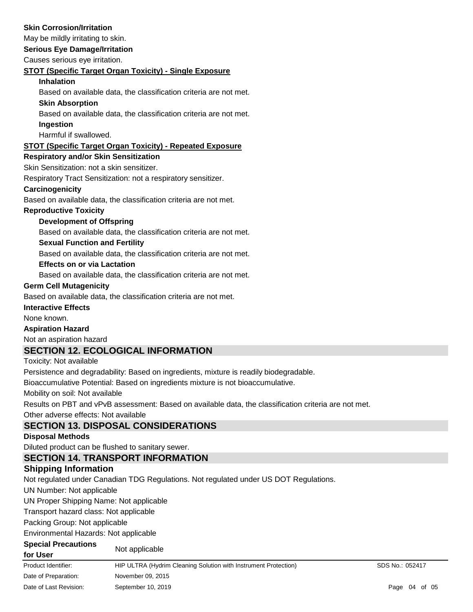### **Skin Corrosion/Irritation**

May be mildly irritating to skin.

### **Serious Eye Damage/Irritation**

Causes serious eye irritation.

#### **STOT (Specific Target Organ Toxicity) - Single Exposure**

#### **Inhalation**

Based on available data, the classification criteria are not met.

### **Skin Absorption**

Based on available data, the classification criteria are not met.

## **Ingestion**

Harmful if swallowed.

# **STOT (Specific Target Organ Toxicity) - Repeated Exposure**

#### **Respiratory and/or Skin Sensitization**

Skin Sensitization: not a skin sensitizer.

Respiratory Tract Sensitization: not a respiratory sensitizer.

### **Carcinogenicity**

Based on available data, the classification criteria are not met.

### **Reproductive Toxicity**

### **Development of Offspring**

Based on available data, the classification criteria are not met.

### **Sexual Function and Fertility**

Based on available data, the classification criteria are not met.

#### **Effects on or via Lactation**

Based on available data, the classification criteria are not met.

#### **Germ Cell Mutagenicity**

Based on available data, the classification criteria are not met.

### **Interactive Effects**

None known.

### **Aspiration Hazard**

Not an aspiration hazard

# **SECTION 12. ECOLOGICAL INFORMATION**

Toxicity: Not available

Persistence and degradability: Based on ingredients, mixture is readily biodegradable.

Bioaccumulative Potential: Based on ingredients mixture is not bioaccumulative.

Mobility on soil: Not available

Results on PBT and vPvB assessment: Based on available data, the classification criteria are not met.

Other adverse effects: Not available

# **SECTION 13. DISPOSAL CONSIDERATIONS**

# **Disposal Methods**

Diluted product can be flushed to sanitary sewer.

# **SECTION 14. TRANSPORT INFORMATION**

# **Shipping Information**

Not regulated under Canadian TDG Regulations. Not regulated under US DOT Regulations.

UN Number: Not applicable

UN Proper Shipping Name: Not applicable

Transport hazard class: Not applicable

Packing Group: Not applicable

Environmental Hazards: Not applicable

# **Special Precautions**

| for User |  |
|----------|--|
|          |  |

Not applicable

| Product Identifier:    | HIP ULTRA (Hydrim Cleaning Solution with Instrument Protection) | SDS No.: 052417 |  |  |
|------------------------|-----------------------------------------------------------------|-----------------|--|--|
| Date of Preparation:   | November 09, 2015                                               |                 |  |  |
| Date of Last Revision: | September 10, 2019                                              | Page 04 of 05   |  |  |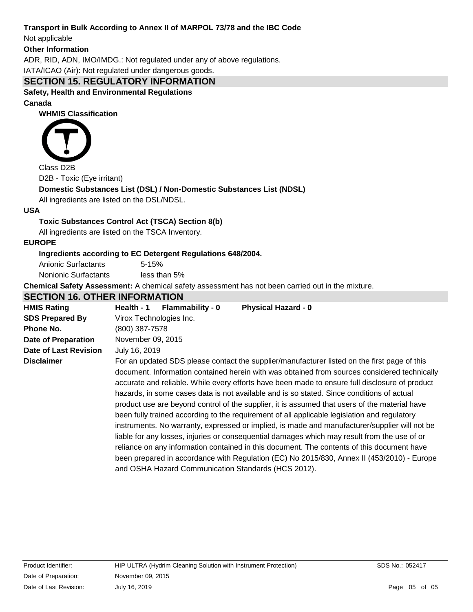# **Transport in Bulk According to Annex II of MARPOL 73/78 and the IBC Code**

Not applicable

#### **Other Information**

ADR, RID, ADN, IMO/IMDG.: Not regulated under any of above regulations.

IATA/ICAO (Air): Not regulated under dangerous goods.

# **SECTION 15. REGULATORY INFORMATION**

**Safety, Health and Environmental Regulations**

**Canada**

**WHMIS Classification**



Class D2B

D2B - Toxic (Eye irritant)

# **Domestic Substances List (DSL) / Non-Domestic Substances List (NDSL)**

All ingredients are listed on the DSL/NDSL.

#### **USA**

# **Toxic Substances Control Act (TSCA) Section 8(b)**

All ingredients are listed on the TSCA Inventory.

### **EUROPE**

### **Ingredients according to EC Detergent Regulations 648/2004.**

Anionic Surfactants 5-15% Nonionic Surfactants less than 5%

**Chemical Safety Assessment:** A chemical safety assessment has not been carried out in the mixture.

# **SECTION 16. OTHER INFORMATION**

| <b>HMIS Rating</b>         | Health - 1                                                                                                                                                                                                                                                                                                                                                                                                                                                                                                                                                                                                                                                                                                                                                                                                                                                                                                                                                                                                                                       | <b>Flammability - 0</b> | <b>Physical Hazard - 0</b> |  |  |
|----------------------------|--------------------------------------------------------------------------------------------------------------------------------------------------------------------------------------------------------------------------------------------------------------------------------------------------------------------------------------------------------------------------------------------------------------------------------------------------------------------------------------------------------------------------------------------------------------------------------------------------------------------------------------------------------------------------------------------------------------------------------------------------------------------------------------------------------------------------------------------------------------------------------------------------------------------------------------------------------------------------------------------------------------------------------------------------|-------------------------|----------------------------|--|--|
| <b>SDS Prepared By</b>     | Virox Technologies Inc.                                                                                                                                                                                                                                                                                                                                                                                                                                                                                                                                                                                                                                                                                                                                                                                                                                                                                                                                                                                                                          |                         |                            |  |  |
| Phone No.                  | (800) 387-7578                                                                                                                                                                                                                                                                                                                                                                                                                                                                                                                                                                                                                                                                                                                                                                                                                                                                                                                                                                                                                                   |                         |                            |  |  |
| <b>Date of Preparation</b> | November 09, 2015                                                                                                                                                                                                                                                                                                                                                                                                                                                                                                                                                                                                                                                                                                                                                                                                                                                                                                                                                                                                                                |                         |                            |  |  |
| Date of Last Revision      | July 16, 2019                                                                                                                                                                                                                                                                                                                                                                                                                                                                                                                                                                                                                                                                                                                                                                                                                                                                                                                                                                                                                                    |                         |                            |  |  |
| <b>Disclaimer</b>          | For an updated SDS please contact the supplier/manufacturer listed on the first page of this<br>document. Information contained herein with was obtained from sources considered technically<br>accurate and reliable. While every efforts have been made to ensure full disclosure of product<br>hazards, in some cases data is not available and is so stated. Since conditions of actual<br>product use are beyond control of the supplier, it is assumed that users of the material have<br>been fully trained according to the requirement of all applicable legislation and regulatory<br>instruments. No warranty, expressed or implied, is made and manufacturer/supplier will not be<br>liable for any losses, injuries or consequential damages which may result from the use of or<br>reliance on any information contained in this document. The contents of this document have<br>been prepared in accordance with Regulation (EC) No 2015/830, Annex II (453/2010) - Europe<br>and OSHA Hazard Communication Standards (HCS 2012). |                         |                            |  |  |